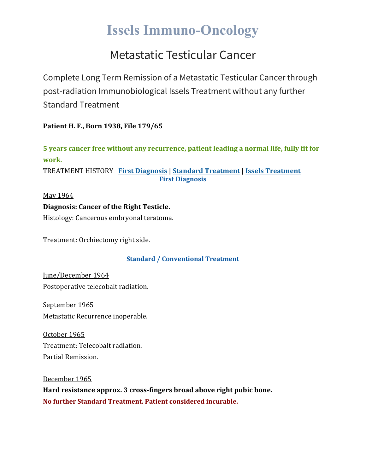# **Issels Immuno-Oncology**

## Metastatic Testicular Cancer

Complete Long Term Remission of a Metastatic Testicular Cancer through post-radiation Immunobiological Issels Treatment without any further Standard Treatment

**Patient H. F., Born 1938, File 179/65**

**5 years cancer free without any recurrence, patient leading a normal life, fully fit for work.**

TREATMENT HISTORY **First [Diagnosis](https://issels.com/cancer-cases/testicular-4-metastatic-testicular-cancer/#First)** | **Standard [Treatment](https://issels.com/cancer-cases/testicular-4-metastatic-testicular-cancer/#Standard)** | **Issels [Treatment](https://issels.com/cancer-cases/testicular-4-metastatic-testicular-cancer/#Issels) First Diagnosis**

May 1964 **Diagnosis: Cancer of the Right Testicle.** Histology: Cancerous embryonal teratoma.

Treatment: Orchiectomy right side.

### **Standard / Conventional Treatment**

June/December 1964 Postoperative telecobalt radiation.

September 1965 Metastatic Recurrence inoperable.

October 1965 Treatment: Telecobalt radiation. Partial Remission.

December 1965

**Hard resistance approx. 3 cross-fingers broad above right pubic bone. No further Standard Treatment. Patient considered incurable.**